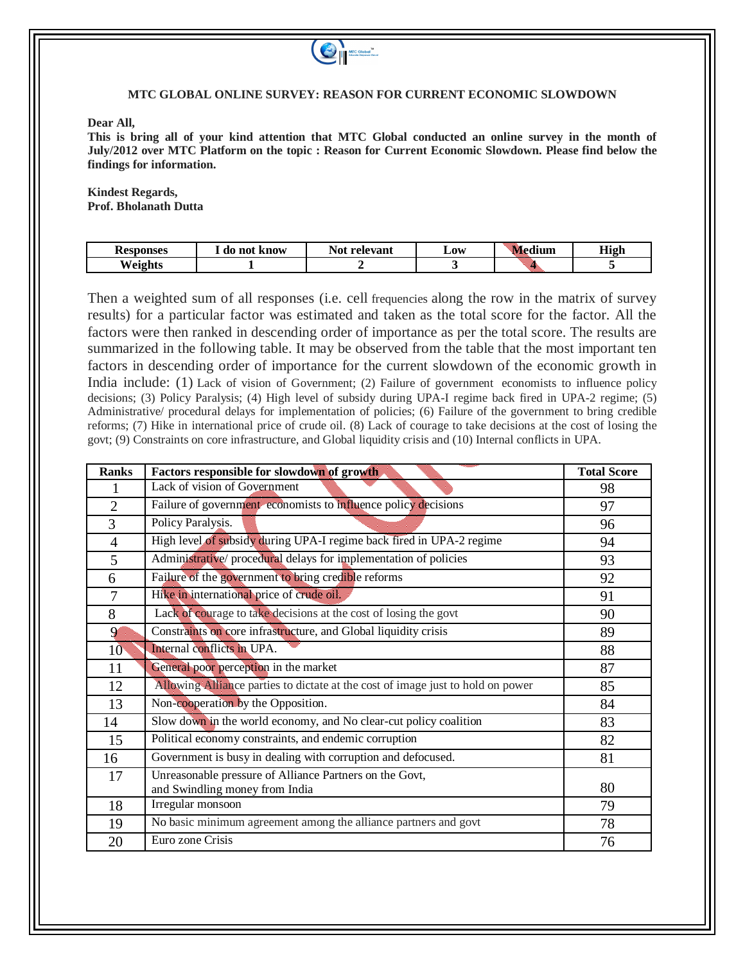

## **MTC GLOBAL ONLINE SURVEY: REASON FOR CURRENT ECONOMIC SLOWDOWN**

**Dear All,**

**This is bring all of your kind attention that MTC Global conducted an online survey in the month of July/2012 over MTC Platform on the topic : Reason for Current Economic Slowdown. Please find below the findings for information.**

**Kindest Regards, Prof. Bholanath Dutta**

| <b>Resp</b><br>oonses  | . do not<br>know | $\mathbf{v}$<br>relevant<br>⊣Ne* | Low | edium    | <b>High</b><br>п. |
|------------------------|------------------|----------------------------------|-----|----------|-------------------|
| <b>TI</b><br>$\lambda$ |                  |                                  |     | ,,,,,,,, |                   |

Then a weighted sum of all responses (i.e. cell frequencies along the row in the matrix of survey results) for a particular factor was estimated and taken as the total score for the factor. All the factors were then ranked in descending order of importance as per the total score. The results are summarized in the following table. It may be observed from the table that the most important ten factors in descending order of importance for the current slowdown of the economic growth in India include: (1) Lack of vision of Government; (2) Failure of government economists to influence policy decisions; (3) Policy Paralysis; (4) High level of subsidy during UPA-I regime back fired in UPA-2 regime; (5) Administrative/ procedural delays for implementation of policies; (6) Failure of the government to bring credible reforms; (7) Hike in international price of crude oil. (8) Lack of courage to take decisions at the cost of losing the govt; (9) Constraints on core infrastructure, and Global liquidity crisis and (10) Internal conflicts in UPA.

| <b>Ranks</b>   | Factors responsible for slowdown of growth                                                | <b>Total Score</b> |
|----------------|-------------------------------------------------------------------------------------------|--------------------|
|                | Lack of vision of Government                                                              | 98                 |
| $\overline{2}$ | Failure of government economists to influence policy decisions                            | 97                 |
| 3              | Policy Paralysis.                                                                         | 96                 |
| $\overline{4}$ | High level of subsidy during UPA-I regime back fired in UPA-2 regime                      | 94                 |
| 5              | Administrative/ procedural delays for implementation of policies                          | 93                 |
| 6              | Failure of the government to bring credible reforms                                       | 92                 |
| $\overline{7}$ | Hike in international price of crude oil.                                                 | 91                 |
| 8              | Lack of courage to take decisions at the cost of losing the govt                          | 90                 |
| $\mathcal{P}$  | Constraints on core infrastructure, and Global liquidity crisis                           | 89                 |
| $10^{\circ}$   | Internal conflicts in UPA.                                                                | 88                 |
| 11             | General poor perception in the market                                                     | 87                 |
| 12             | Allowing Alliance parties to dictate at the cost of image just to hold on power           | 85                 |
| 13             | Non-cooperation by the Opposition.                                                        | 84                 |
| 14             | Slow down in the world economy, and No clear-cut policy coalition                         | 83                 |
| 15             | Political economy constraints, and endemic corruption                                     | 82                 |
| 16             | Government is busy in dealing with corruption and defocused.                              | 81                 |
| 17             | Unreasonable pressure of Alliance Partners on the Govt,<br>and Swindling money from India | 80                 |
| 18             | Irregular monsoon                                                                         | 79                 |
| 19             | No basic minimum agreement among the alliance partners and govt                           | 78                 |
| 20             | Euro zone Crisis                                                                          | 76                 |